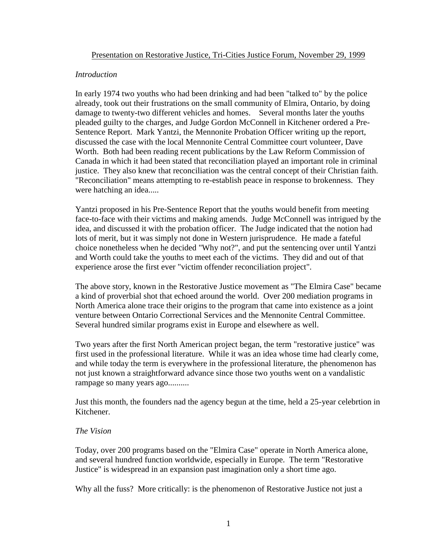# *Introduction*

In early 1974 two youths who had been drinking and had been "talked to" by the police already, took out their frustrations on the small community of Elmira, Ontario, by doing damage to twenty-two different vehicles and homes. Several months later the youths pleaded guilty to the charges, and Judge Gordon McConnell in Kitchener ordered a Pre-Sentence Report. Mark Yantzi, the Mennonite Probation Officer writing up the report, discussed the case with the local Mennonite Central Committee court volunteer, Dave Worth. Both had been reading recent publications by the Law Reform Commission of Canada in which it had been stated that reconciliation played an important role in criminal justice. They also knew that reconciliation was the central concept of their Christian faith. "Reconciliation" means attempting to re-establish peace in response to brokenness. They were hatching an idea.....

Yantzi proposed in his Pre-Sentence Report that the youths would benefit from meeting face-to-face with their victims and making amends. Judge McConnell was intrigued by the idea, and discussed it with the probation officer. The Judge indicated that the notion had lots of merit, but it was simply not done in Western jurisprudence. He made a fateful choice nonetheless when he decided "Why not?", and put the sentencing over until Yantzi and Worth could take the youths to meet each of the victims. They did and out of that experience arose the first ever "victim offender reconciliation project".

The above story, known in the Restorative Justice movement as "The Elmira Case" became a kind of proverbial shot that echoed around the world. Over 200 mediation programs in North America alone trace their origins to the program that came into existence as a joint venture between Ontario Correctional Services and the Mennonite Central Committee. Several hundred similar programs exist in Europe and elsewhere as well.

Two years after the first North American project began, the term "restorative justice" was first used in the professional literature. While it was an idea whose time had clearly come, and while today the term is everywhere in the professional literature, the phenomenon has not just known a straightforward advance since those two youths went on a vandalistic rampage so many years ago..........

Just this month, the founders nad the agency begun at the time, held a 25-year celebrtion in Kitchener.

# *The Vision*

Today, over 200 programs based on the "Elmira Case" operate in North America alone, and several hundred function worldwide, especially in Europe. The term "Restorative Justice" is widespread in an expansion past imagination only a short time ago.

Why all the fuss? More critically: is the phenomenon of Restorative Justice not just a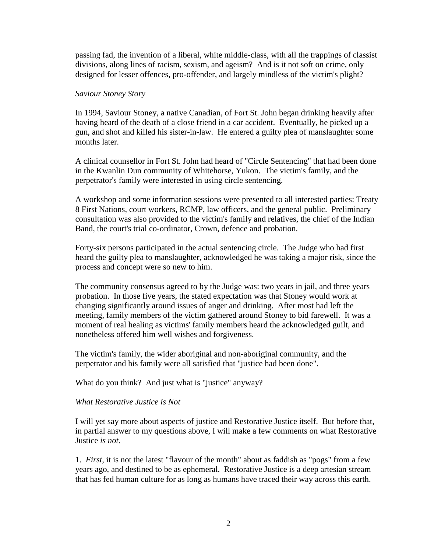passing fad, the invention of a liberal, white middle-class, with all the trappings of classist divisions, along lines of racism, sexism, and ageism? And is it not soft on crime, only designed for lesser offences, pro-offender, and largely mindless of the victim's plight?

### *Saviour Stoney Story*

In 1994, Saviour Stoney, a native Canadian, of Fort St. John began drinking heavily after having heard of the death of a close friend in a car accident. Eventually, he picked up a gun, and shot and killed his sister-in-law. He entered a guilty plea of manslaughter some months later.

A clinical counsellor in Fort St. John had heard of "Circle Sentencing" that had been done in the Kwanlin Dun community of Whitehorse, Yukon. The victim's family, and the perpetrator's family were interested in using circle sentencing.

A workshop and some information sessions were presented to all interested parties: Treaty 8 First Nations, court workers, RCMP, law officers, and the general public. Preliminary consultation was also provided to the victim's family and relatives, the chief of the Indian Band, the court's trial co-ordinator, Crown, defence and probation.

Forty-six persons participated in the actual sentencing circle. The Judge who had first heard the guilty plea to manslaughter, acknowledged he was taking a major risk, since the process and concept were so new to him.

The community consensus agreed to by the Judge was: two years in jail, and three years probation. In those five years, the stated expectation was that Stoney would work at changing significantly around issues of anger and drinking. After most had left the meeting, family members of the victim gathered around Stoney to bid farewell. It was a moment of real healing as victims' family members heard the acknowledged guilt, and nonetheless offered him well wishes and forgiveness.

The victim's family, the wider aboriginal and non-aboriginal community, and the perpetrator and his family were all satisfied that "justice had been done".

What do you think? And just what is "justice" anyway?

# *What Restorative Justice is Not*

I will yet say more about aspects of justice and Restorative Justice itself. But before that, in partial answer to my questions above, I will make a few comments on what Restorative Justice *is not*.

1. *First*, it is not the latest "flavour of the month" about as faddish as "pogs" from a few years ago, and destined to be as ephemeral. Restorative Justice is a deep artesian stream that has fed human culture for as long as humans have traced their way across this earth.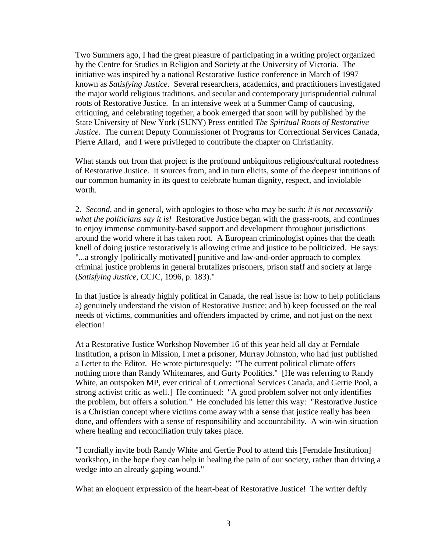Two Summers ago, I had the great pleasure of participating in a writing project organized by the Centre for Studies in Religion and Society at the University of Victoria. The initiative was inspired by a national Restorative Justice conference in March of 1997 known as *Satisfying Justice*. Several researchers, academics, and practitioners investigated the major world religious traditions, and secular and contemporary jurisprudential cultural roots of Restorative Justice. In an intensive week at a Summer Camp of caucusing, critiquing, and celebrating together, a book emerged that soon will by published by the State University of New York (SUNY) Press entitled *The Spiritual Roots of Restorative Justice*. The current Deputy Commissioner of Programs for Correctional Services Canada, Pierre Allard, and I were privileged to contribute the chapter on Christianity.

What stands out from that project is the profound unbiquitous religious/cultural rootedness of Restorative Justice. It sources from, and in turn elicits, some of the deepest intuitions of our common humanity in its quest to celebrate human dignity, respect, and inviolable worth.

2. *Second*, and in general, with apologies to those who may be such: *it is not necessarily what the politicians say it is!* Restorative Justice began with the grass-roots, and continues to enjoy immense community-based support and development throughout jurisdictions around the world where it has taken root. A European criminologist opines that the death knell of doing justice restoratively is allowing crime and justice to be politicized. He says: "...a strongly [politically motivated] punitive and law-and-order approach to complex criminal justice problems in general brutalizes prisoners, prison staff and society at large (*Satisfying Justice,* CCJC, 1996, p. 183)."

In that justice is already highly political in Canada, the real issue is: how to help politicians a) genuinely understand the vision of Restorative Justice; and b) keep focussed on the real needs of victims, communities and offenders impacted by crime, and not just on the next election!

At a Restorative Justice Workshop November 16 of this year held all day at Ferndale Institution, a prison in Mission, I met a prisoner, Murray Johnston, who had just published a Letter to the Editor. He wrote picturesquely: "The current political climate offers nothing more than Randy Whitemares, and Gurty Poolitics." [He was referring to Randy White, an outspoken MP, ever critical of Correctional Services Canada, and Gertie Pool, a strong activist critic as well.] He continued: "A good problem solver not only identifies the problem, but offers a solution." He concluded his letter this way: "Restorative Justice is a Christian concept where victims come away with a sense that justice really has been done, and offenders with a sense of responsibility and accountability. A win-win situation where healing and reconciliation truly takes place.

"I cordially invite both Randy White and Gertie Pool to attend this [Ferndale Institution] workshop, in the hope they can help in healing the pain of our society, rather than driving a wedge into an already gaping wound."

What an eloquent expression of the heart-beat of Restorative Justice! The writer deftly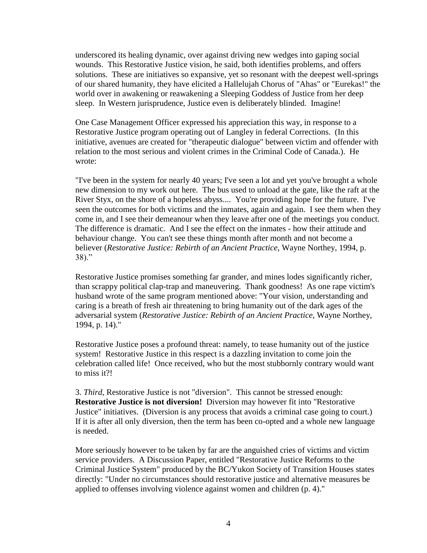underscored its healing dynamic, over against driving new wedges into gaping social wounds. This Restorative Justice vision, he said, both identifies problems, and offers solutions. These are initiatives so expansive, yet so resonant with the deepest well-springs of our shared humanity, they have elicited a Hallelujah Chorus of "Ahas" or "Eurekas!" the world over in awakening or reawakening a Sleeping Goddess of Justice from her deep sleep. In Western jurisprudence, Justice even is deliberately blinded. Imagine!

One Case Management Officer expressed his appreciation this way, in response to a Restorative Justice program operating out of Langley in federal Corrections. (In this initiative, avenues are created for "therapeutic dialogue" between victim and offender with relation to the most serious and violent crimes in the Criminal Code of Canada.). He wrote:

"I've been in the system for nearly 40 years; I've seen a lot and yet you've brought a whole new dimension to my work out here. The bus used to unload at the gate, like the raft at the River Styx, on the shore of a hopeless abyss.... You're providing hope for the future. I've seen the outcomes for both victims and the inmates, again and again. I see them when they come in, and I see their demeanour when they leave after one of the meetings you conduct. The difference is dramatic. And I see the effect on the inmates - how their attitude and behaviour change. You can't see these things month after month and not become a believer (*Restorative Justice: Rebirth of an Ancient Practice*, Wayne Northey, 1994, p. 38)."

Restorative Justice promises something far grander, and mines lodes significantly richer, than scrappy political clap-trap and maneuvering. Thank goodness! As one rape victim's husband wrote of the same program mentioned above: "Your vision, understanding and caring is a breath of fresh air threatening to bring humanity out of the dark ages of the adversarial system (*Restorative Justice: Rebirth of an Ancient Practice*, Wayne Northey, 1994, p. 14)."

Restorative Justice poses a profound threat: namely, to tease humanity out of the justice system! Restorative Justice in this respect is a dazzling invitation to come join the celebration called life! Once received, who but the most stubbornly contrary would want to miss it?!

3. *Third*, Restorative Justice is not "diversion". This cannot be stressed enough: **Restorative Justice is not diversion!** Diversion may however fit into "Restorative Justice" initiatives. (Diversion is any process that avoids a criminal case going to court.) If it is after all only diversion, then the term has been co-opted and a whole new language is needed.

More seriously however to be taken by far are the anguished cries of victims and victim service providers. A Discussion Paper, entitled "Restorative Justice Reforms to the Criminal Justice System" produced by the BC/Yukon Society of Transition Houses states directly: "Under no circumstances should restorative justice and alternative measures be applied to offenses involving violence against women and children (p. 4)."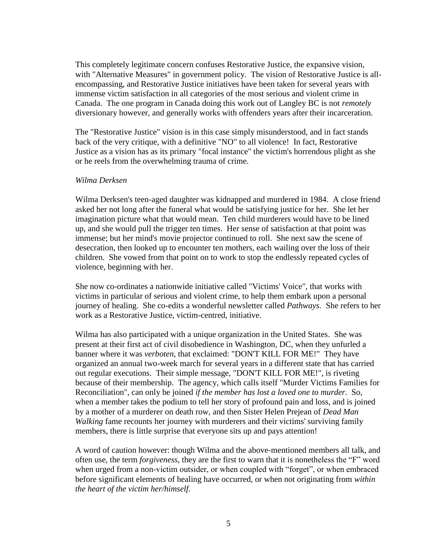This completely legitimate concern confuses Restorative Justice, the expansive vision, with "Alternative Measures" in government policy. The vision of Restorative Justice is allencompassing, and Restorative Justice initiatives have been taken for several years with immense victim satisfaction in all categories of the most serious and violent crime in Canada. The one program in Canada doing this work out of Langley BC is not *remotely*  diversionary however, and generally works with offenders years after their incarceration.

The "Restorative Justice" vision is in this case simply misunderstood, and in fact stands back of the very critique, with a definitive "NO" to all violence! In fact, Restorative Justice as a vision has as its primary "focal instance" the victim's horrendous plight as she or he reels from the overwhelming trauma of crime.

### *Wilma Derksen*

Wilma Derksen's teen-aged daughter was kidnapped and murdered in 1984. A close friend asked her not long after the funeral what would be satisfying justice for her. She let her imagination picture what that would mean. Ten child murderers would have to be lined up, and she would pull the trigger ten times. Her sense of satisfaction at that point was immense; but her mind's movie projector continued to roll. She next saw the scene of desecration, then looked up to encounter ten mothers, each wailing over the loss of their children. She vowed from that point on to work to stop the endlessly repeated cycles of violence, beginning with her.

She now co-ordinates a nationwide initiative called "Victims' Voice", that works with victims in particular of serious and violent crime, to help them embark upon a personal journey of healing. She co-edits a wonderful newsletter called *Pathways.* She refers to her work as a Restorative Justice, victim-centred, initiative.

Wilma has also participated with a unique organization in the United States. She was present at their first act of civil disobedience in Washington, DC, when they unfurled a banner where it was *verboten*, that exclaimed: "DON'T KILL FOR ME!" They have organized an annual two-week march for several years in a different state that has carried out regular executions. Their simple message, "DON'T KILL FOR ME!", is riveting because of their membership. The agency, which calls itself "Murder Victims Families for Reconciliation", can only be joined *if the member has lost a loved one to murder*. So, when a member takes the podium to tell her story of profound pain and loss, and is joined by a mother of a murderer on death row, and then Sister Helen Prejean of *Dead Man Walking* fame recounts her journey with murderers and their victims' surviving family members, there is little surprise that everyone sits up and pays attention!

A word of caution however: though Wilma and the above-mentioned members all talk, and often use, the term *forgiveness*, they are the first to warn that it is nonetheless the "F" word when urged from a non-victim outsider, or when coupled with "forget", or when embraced before significant elements of healing have occurred, or when not originating from *within the heart of the victim her/himself.*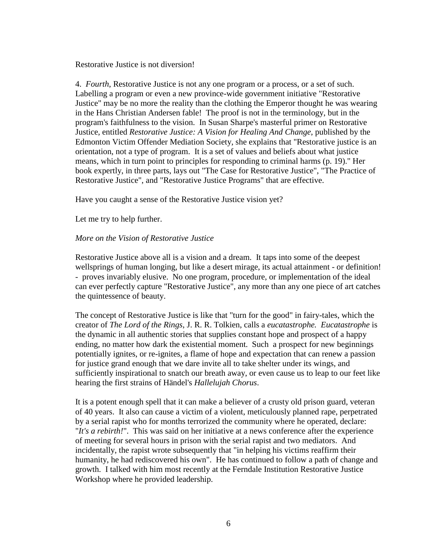Restorative Justice is not diversion!

4. *Fourth*, Restorative Justice is not any one program or a process, or a set of such. Labelling a program or even a new province-wide government initiative "Restorative Justice" may be no more the reality than the clothing the Emperor thought he was wearing in the Hans Christian Andersen fable! The proof is not in the terminology, but in the program's faithfulness to the vision. In Susan Sharpe's masterful primer on Restorative Justice, entitled *Restorative Justice: A Vision for Healing And Change*, published by the Edmonton Victim Offender Mediation Society, she explains that "Restorative justice is an orientation, not a type of program. It is a set of values and beliefs about what justice means, which in turn point to principles for responding to criminal harms (p. 19)." Her book expertly, in three parts, lays out "The Case for Restorative Justice", "The Practice of Restorative Justice", and "Restorative Justice Programs" that are effective.

Have you caught a sense of the Restorative Justice vision yet?

Let me try to help further.

# *More on the Vision of Restorative Justice*

Restorative Justice above all is a vision and a dream. It taps into some of the deepest wellsprings of human longing, but like a desert mirage, its actual attainment - or definition! - proves invariably elusive. No one program, procedure, or implementation of the ideal can ever perfectly capture "Restorative Justice", any more than any one piece of art catches the quintessence of beauty.

The concept of Restorative Justice is like that "turn for the good" in fairy-tales, which the creator of *The Lord of the Rings*, J. R. R. Tolkien, calls a *eucatastrophe. Eucatastrophe* is the dynamic in all authentic stories that supplies constant hope and prospect of a happy ending, no matter how dark the existential moment. Such a prospect for new beginnings potentially ignites, or re-ignites, a flame of hope and expectation that can renew a passion for justice grand enough that we dare invite all to take shelter under its wings, and sufficiently inspirational to snatch our breath away, or even cause us to leap to our feet like hearing the first strains of Händel's *Hallelujah Chorus*.

It is a potent enough spell that it can make a believer of a crusty old prison guard, veteran of 40 years. It also can cause a victim of a violent, meticulously planned rape, perpetrated by a serial rapist who for months terrorized the community where he operated, declare: "*It's a rebirth!*". This was said on her initiative at a news conference after the experience of meeting for several hours in prison with the serial rapist and two mediators. And incidentally, the rapist wrote subsequently that "in helping his victims reaffirm their humanity, he had rediscovered his own". He has continued to follow a path of change and growth. I talked with him most recently at the Ferndale Institution Restorative Justice Workshop where he provided leadership.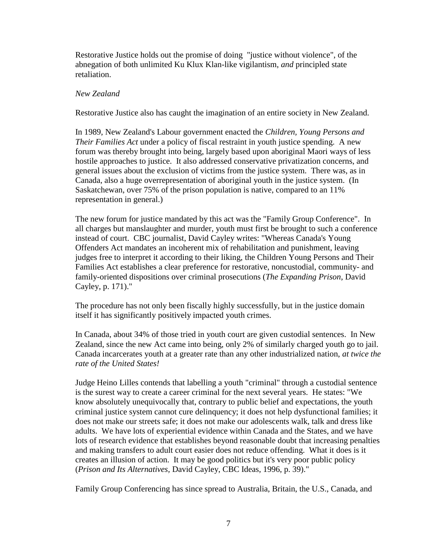Restorative Justice holds out the promise of doing "justice without violence", of the abnegation of both unlimited Ku Klux Klan-like vigilantism, *and* principled state retaliation.

# *New Zealand*

Restorative Justice also has caught the imagination of an entire society in New Zealand.

In 1989, New Zealand's Labour government enacted the *Children, Young Persons and Their Families Act* under a policy of fiscal restraint in youth justice spending. A new forum was thereby brought into being, largely based upon aboriginal Maori ways of less hostile approaches to justice. It also addressed conservative privatization concerns, and general issues about the exclusion of victims from the justice system. There was, as in Canada, also a huge overrepresentation of aboriginal youth in the justice system. (In Saskatchewan, over 75% of the prison population is native, compared to an 11% representation in general.)

The new forum for justice mandated by this act was the "Family Group Conference". In all charges but manslaughter and murder, youth must first be brought to such a conference instead of court. CBC journalist, David Cayley writes: "Whereas Canada's Young Offenders Act mandates an incoherent mix of rehabilitation and punishment, leaving judges free to interpret it according to their liking, the Children Young Persons and Their Families Act establishes a clear preference for restorative, noncustodial, community- and family-oriented dispositions over criminal prosecutions (*The Expanding Prison*, David Cayley, p. 171)."

The procedure has not only been fiscally highly successfully, but in the justice domain itself it has significantly positively impacted youth crimes.

In Canada, about 34% of those tried in youth court are given custodial sentences. In New Zealand, since the new Act came into being, only 2% of similarly charged youth go to jail. Canada incarcerates youth at a greater rate than any other industrialized nation, *at twice the rate of the United States!*

Judge Heino Lilles contends that labelling a youth "criminal" through a custodial sentence is the surest way to create a career criminal for the next several years. He states: "We know absolutely unequivocally that, contrary to public belief and expectations, the youth criminal justice system cannot cure delinquency; it does not help dysfunctional families; it does not make our streets safe; it does not make our adolescents walk, talk and dress like adults. We have lots of experiential evidence within Canada and the States, and we have lots of research evidence that establishes beyond reasonable doubt that increasing penalties and making transfers to adult court easier does not reduce offending. What it does is it creates an illusion of action. It may be good politics but it's very poor public policy (*Prison and Its Alternatives,* David Cayley, CBC Ideas, 1996, p. 39)."

Family Group Conferencing has since spread to Australia, Britain, the U.S., Canada, and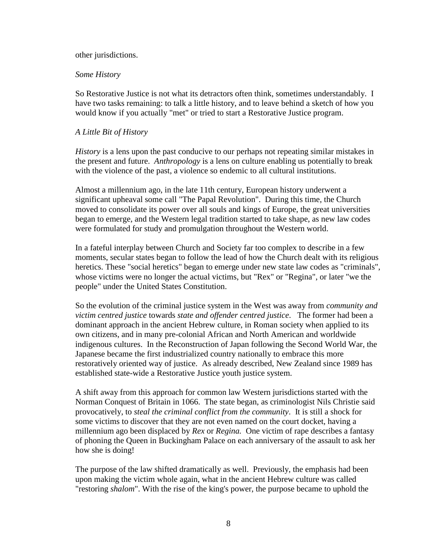#### other jurisdictions.

### *Some History*

So Restorative Justice is not what its detractors often think, sometimes understandably. I have two tasks remaining: to talk a little history, and to leave behind a sketch of how you would know if you actually "met" or tried to start a Restorative Justice program.

# *A Little Bit of History*

*History* is a lens upon the past conducive to our perhaps not repeating similar mistakes in the present and future. *Anthropology* is a lens on culture enabling us potentially to break with the violence of the past, a violence so endemic to all cultural institutions.

Almost a millennium ago, in the late 11th century, European history underwent a significant upheaval some call "The Papal Revolution". During this time, the Church moved to consolidate its power over all souls and kings of Europe, the great universities began to emerge, and the Western legal tradition started to take shape, as new law codes were formulated for study and promulgation throughout the Western world.

In a fateful interplay between Church and Society far too complex to describe in a few moments, secular states began to follow the lead of how the Church dealt with its religious heretics. These "social heretics" began to emerge under new state law codes as "criminals", whose victims were no longer the actual victims, but "Rex" or "Regina", or later "we the people" under the United States Constitution.

So the evolution of the criminal justice system in the West was away from *community and victim centred justice* towards *state and offender centred justice*. The former had been a dominant approach in the ancient Hebrew culture, in Roman society when applied to its own citizens, and in many pre-colonial African and North American and worldwide indigenous cultures. In the Reconstruction of Japan following the Second World War, the Japanese became the first industrialized country nationally to embrace this more restoratively oriented way of justice. As already described, New Zealand since 1989 has established state-wide a Restorative Justice youth justice system.

A shift away from this approach for common law Western jurisdictions started with the Norman Conquest of Britain in 1066. The state began, as criminologist Nils Christie said provocatively, to *steal the criminal conflict from the community*. It is still a shock for some victims to discover that they are not even named on the court docket, having a millennium ago been displaced by *Rex* or *Regina.* One victim of rape describes a fantasy of phoning the Queen in Buckingham Palace on each anniversary of the assault to ask her how she is doing!

The purpose of the law shifted dramatically as well. Previously, the emphasis had been upon making the victim whole again, what in the ancient Hebrew culture was called "restoring *shalom*". With the rise of the king's power, the purpose became to uphold the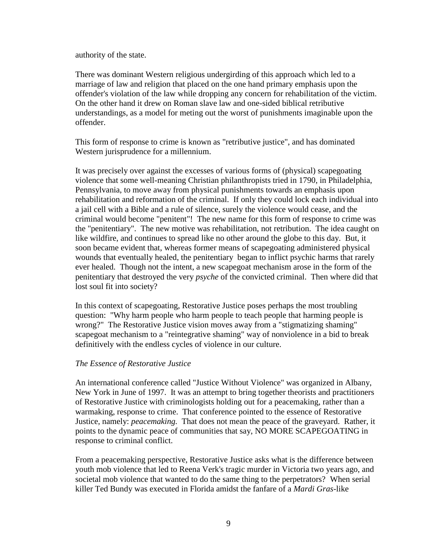authority of the state.

There was dominant Western religious undergirding of this approach which led to a marriage of law and religion that placed on the one hand primary emphasis upon the offender's violation of the law while dropping any concern for rehabilitation of the victim. On the other hand it drew on Roman slave law and one-sided biblical retributive understandings, as a model for meting out the worst of punishments imaginable upon the offender.

This form of response to crime is known as "retributive justice", and has dominated Western jurisprudence for a millennium.

It was precisely over against the excesses of various forms of (physical) scapegoating violence that some well-meaning Christian philanthropists tried in 1790, in Philadelphia, Pennsylvania, to move away from physical punishments towards an emphasis upon rehabilitation and reformation of the criminal. If only they could lock each individual into a jail cell with a Bible and a rule of silence, surely the violence would cease, and the criminal would become "penitent"! The new name for this form of response to crime was the "penitentiary".The new motive was rehabilitation, not retribution. The idea caught on like wildfire, and continues to spread like no other around the globe to this day. But, it soon became evident that, whereas former means of scapegoating administered physical wounds that eventually healed, the penitentiary began to inflict psychic harms that rarely ever healed. Though not the intent, a new scapegoat mechanism arose in the form of the penitentiary that destroyed the very *psyche* of the convicted criminal. Then where did that lost soul fit into society?

In this context of scapegoating, Restorative Justice poses perhaps the most troubling question: "Why harm people who harm people to teach people that harming people is wrong?" The Restorative Justice vision moves away from a "stigmatizing shaming" scapegoat mechanism to a "reintegrative shaming" way of nonviolence in a bid to break definitively with the endless cycles of violence in our culture.

# *The Essence of Restorative Justice*

An international conference called "Justice Without Violence" was organized in Albany, New York in June of 1997. It was an attempt to bring together theorists and practitioners of Restorative Justice with criminologists holding out for a peacemaking, rather than a warmaking, response to crime. That conference pointed to the essence of Restorative Justice, namely: *peacemaking.* That does not mean the peace of the graveyard. Rather, it points to the dynamic peace of communities that say, NO MORE SCAPEGOATING in response to criminal conflict.

From a peacemaking perspective, Restorative Justice asks what is the difference between youth mob violence that led to Reena Verk's tragic murder in Victoria two years ago, and societal mob violence that wanted to do the same thing to the perpetrators? When serial killer Ted Bundy was executed in Florida amidst the fanfare of a *Mardi Gras*-like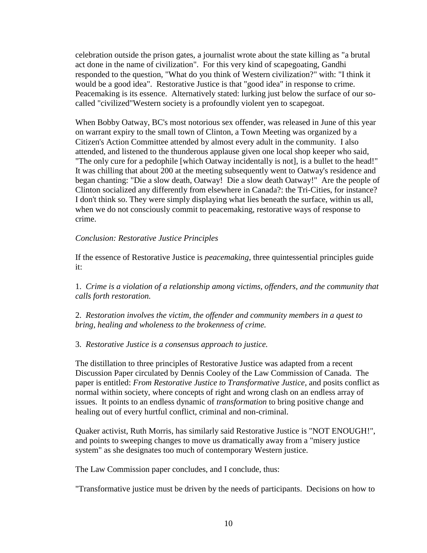celebration outside the prison gates, a journalist wrote about the state killing as "a brutal act done in the name of civilization". For this very kind of scapegoating, Gandhi responded to the question, "What do you think of Western civilization?" with: "I think it would be a good idea". Restorative Justice is that "good idea" in response to crime. Peacemaking is its essence. Alternatively stated: lurking just below the surface of our socalled "civilized"Western society is a profoundly violent yen to scapegoat.

When Bobby Oatway, BC's most notorious sex offender, was released in June of this year on warrant expiry to the small town of Clinton, a Town Meeting was organized by a Citizen's Action Committee attended by almost every adult in the community. I also attended, and listened to the thunderous applause given one local shop keeper who said, "The only cure for a pedophile [which Oatway incidentally is not], is a bullet to the head!" It was chilling that about 200 at the meeting subsequently went to Oatway's residence and began chanting: "Die a slow death, Oatway! Die a slow death Oatway!" Are the people of Clinton socialized any differently from elsewhere in Canada?: the Tri-Cities, for instance? I don't think so. They were simply displaying what lies beneath the surface, within us all, when we do not consciously commit to peacemaking, restorative ways of response to crime.

# *Conclusion: Restorative Justice Principles*

If the essence of Restorative Justice is *peacemaking*, three quintessential principles guide it:

1. *Crime is a violation of a relationship among victims, offenders, and the community that calls forth restoration.*

2. *Restoration involves the victim, the offender and community members in a quest to bring, healing and wholeness to the brokenness of crime.*

3. *Restorative Justice is a consensus approach to justice.*

The distillation to three principles of Restorative Justice was adapted from a recent Discussion Paper circulated by Dennis Cooley of the Law Commission of Canada. The paper is entitled: *From Restorative Justice to Transformative Justice*, and posits conflict as normal within society, where concepts of right and wrong clash on an endless array of issues. It points to an endless dynamic of *transformation* to bring positive change and healing out of every hurtful conflict, criminal and non-criminal.

Quaker activist, Ruth Morris, has similarly said Restorative Justice is "NOT ENOUGH!", and points to sweeping changes to move us dramatically away from a "misery justice system" as she designates too much of contemporary Western justice.

The Law Commission paper concludes, and I conclude, thus:

"Transformative justice must be driven by the needs of participants. Decisions on how to